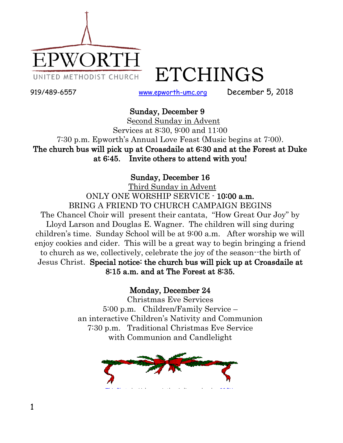

ETCHINGS

919/489-6557 [www.epworth-umc.org](http://www.epworth-umc.org/) December 5, 2018

### Sunday, December 9

 Second Sunday in Advent Services at 8:30, 9:00 and 11:00 7:30 p.m. Epworth's Annual Love Feast (Music begins at 7:00). The church bus will pick up at Croasdaile at 6:30 and at the Forest at Duke at 6:45. Invite others to attend with you!

### Sunday, December 16

 Third Sunday in Advent ONLY ONE WORSHIP SERVICE - 10:00 a.m. BRING A FRIEND TO CHURCH CAMPAIGN BEGINS The Chancel Choir will present their cantata, "How Great Our Joy" by Lloyd Larson and Douglas E. Wagner. The children will sing during children's time. Sunday School will be at 9:00 a.m. After worship we will enjoy cookies and cider. This will be a great way to begin bringing a friend to church as we, collectively, celebrate the joy of the season--the birth of Jesus Christ. Special notice: the church bus will pick up at Croasdaile at 8:15 a.m. and at The Forest at 8:35.

### Monday, December 24

Christmas Eve Services 5:00 p.m. Children/Family Service – an interactive Children's Nativity and Communion 7:30 p.m. Traditional Christmas Eve Service with Communion and Candlelight

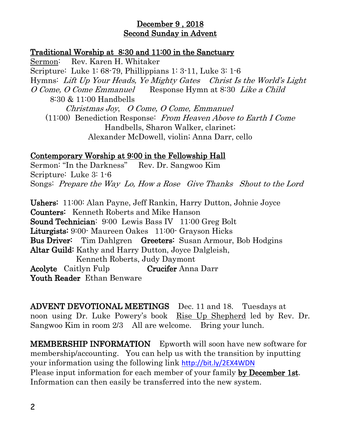### December 9 , 2018 Second Sunday in Advent

### Traditional Worship at 8:30 and 11:00 in the Sanctuary

Sermon: Rev. Karen H. Whitaker Scripture: Luke 1: 68-79, Phillippians 1: 3-11, Luke 3: 1-6 Hymns: Lift Up Your Heads, Ye Mighty Gates Christ Is the World's Light O Come, O Come Emmanuel Response Hymn at 8:30 Like a Child 8:30 & 11:00 Handbells Christmas Joy, O Come, O Come, Emmanuel (11:00) Benediction Response: From Heaven Above to Earth I Come Handbells, Sharon Walker, clarinet; Alexander McDowell, violin; Anna Darr, cello

### Contemporary Worship at 9:00 in the Fellowship Hall

Sermon: "In the Darkness" Rev. Dr. Sangwoo Kim Scripture: Luke 3: 1-6 Songs: Prepare the Way Lo, How a Rose Give Thanks Shout to the Lord

Ushers: 11:00: Alan Payne, Jeff Rankin, Harry Dutton, Johnie Joyce Counters: Kenneth Roberts and Mike Hanson Sound Technician: 9:00 Lewis Bass IV 11:00 Greg Bolt Liturgists: 9:00- Maureen Oakes 11:00- Grayson Hicks Bus Driver: Tim Dahlgren Greeters: Susan Armour, Bob Hodgins Altar Guild: Kathy and Harry Dutton, Joyce Dalgleish, Kenneth Roberts, Judy Daymont Acolyte Caitlyn Fulp Crucifer Anna Darr Youth Reader Ethan Benware

ADVENT DEVOTIONAL MEETINGS Dec. 11 and 18. Tuesdays at noon using Dr. Luke Powery's book Rise Up Shepherd led by Rev. Dr. Sangwoo Kim in room 2/3 All are welcome. Bring your lunch.

MEMBERSHIP INFORMATION Epworth will soon have new software for membership/accounting. You can help us with the transition by inputting your information using the following link <http://bit.ly/2EX4WDN> Please input information for each member of your family by December 1st. Information can then easily be transferred into the new system.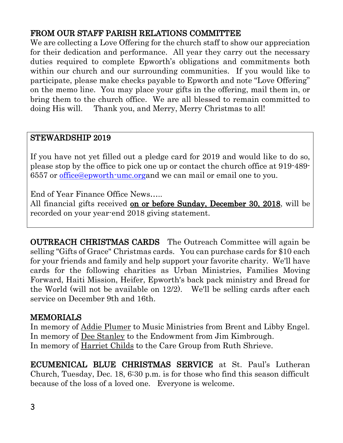# FROM OUR STAFF PARISH RELATIONS COMMITTEE

We are collecting a Love Offering for the church staff to show our appreciation for their dedication and performance. All year they carry out the necessary duties required to complete Epworth's obligations and commitments both within our church and our surrounding communities. If you would like to participate, please make checks payable to Epworth and note "Love Offering" on the memo line. You may place your gifts in the offering, mail them in, or bring them to the church office. We are all blessed to remain committed to doing His will. Thank you, and Merry, Merry Christmas to all!

## STEWARDSHIP 2019

If you have not yet filled out a pledge card for 2019 and would like to do so, please stop by the office to pick one up or contact the church office at 919-489- 6557 or [office@epworth-umc.orga](mailto:office@epworth-umc.org)nd we can mail or email one to you.

End of Year Finance Office News…..

All financial gifts received on or before Sunday, December 30, 2018, will be recorded on your year-end 2018 giving statement.

OUTREACH CHRISTMAS CARDS The Outreach Committee will again be selling "Gifts of Grace" Christmas cards. You can purchase cards for \$10 each for your friends and family and help support your favorite charity. We'll have cards for the following charities as Urban Ministries, Families Moving Forward, Haiti Mission, Heifer, Epworth's back pack ministry and Bread for the World (will not be available on 12/2). We'll be selling cards after each service on December 9th and 16th.

### **MEMORIALS**

In memory of Addie Plumer to Music Ministries from Brent and Libby Engel. In memory of Dee Stanley to the Endowment from Jim Kimbrough. In memory of Harriet Childs to the Care Group from Ruth Shrieve.

ECUMENICAL BLUE CHRISTMAS SERVICE at St. Paul's Lutheran Church, Tuesday, Dec. 18, 6:30 p.m. is for those who find this season difficult because of the loss of a loved one. Everyone is welcome.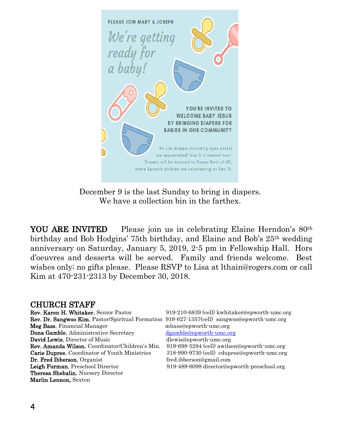

December 9 is the last Sunday to bring in diapers. We have a collection bin in the farthex.

YOU ARE INVITED Please join us in celebrating Elaine Herndon's 80<sup>th</sup> birthday and Bob Hodgins' 75th birthday, and Elaine and Bob's 25th wedding anniversary on Saturday, January 5, 2019, 2-5 pm in Fellowship Hall. Hors d'oeuvres and desserts will be served. Family and friends welcome. Best wishes only; no gifts please. Please RSVP to Lisa at lthain@rogers.com or call Kim at 470-231-2313 by December 30, 2018.

#### CHURCH STAFF

| Rev. Karen H. Whitaker, Senior Pastor                                                              | 919-210-6839 (cell) kwhitaker@epworth-umc.org |
|----------------------------------------------------------------------------------------------------|-----------------------------------------------|
| <b>Rev. Dr. Sangwoo Kim, Pastor/Spiritual Formation 919-627-1357(cell) sangwoo@epworth-umc.org</b> |                                               |
| Meg Bass, Financial Manager                                                                        | mbass@epworth-umc.org                         |
| Dona Gamble, Administrative Secretary                                                              | dgamble@epworth-umc.org                       |
| David Lewis, Director of Music                                                                     | dlewis@epworth-umc.org                        |
| Rev. Amanda Wilson, Coordinator/Children's Min.                                                    | 919-698-5284 (cell) awilson@epworth-umc.org   |
| Carie Dupree, Coordinator of Youth Ministries                                                      | 318-990-9730 (cell) cdupree@epworth-umc.org   |
| Dr. Fred Ibberson, Organist                                                                        | fred.ibberson@gmail.com                       |
| Leigh Furman, Preschool Director                                                                   | 919-489-6098 director@epworth-preschool.org   |
| <b>Theresa Shebalin, Nursery Director</b>                                                          |                                               |
| Marlin Lennon, Sexton                                                                              |                                               |